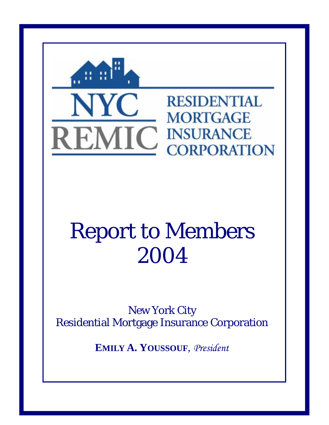

# Report to Members 2004

New York City Residential Mortgage Insurance Corporation

**EMILY A. YOUSSOUF**, *President*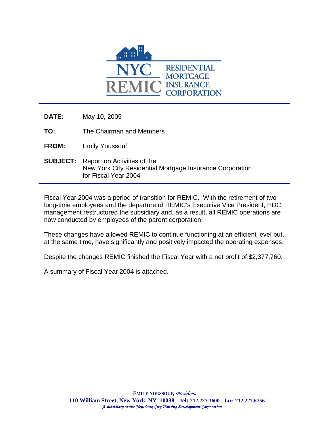

- **DATE:** May 10, 2005
- **TO:** The Chairman and Members
- **FROM:** Emily Youssouf
- **SUBJECT:** Report on Activities of the New York City Residential Mortgage Insurance Corporation for Fiscal Year 2004

Fiscal Year 2004 was a period of transition for REMIC. With the retirement of two long-time employees and the departure of REMIC's Executive Vice President, HDC management restructured the subsidiary and, as a result, all REMIC operations are now conducted by employees of the parent corporation.

These changes have allowed REMIC to continue functioning at an efficient level but, at the same time, have significantly and positively impacted the operating expenses.

Despite the changes REMIC finished the Fiscal Year with a net profit of \$2,377,760.

A summary of Fiscal Year 2004 is attached.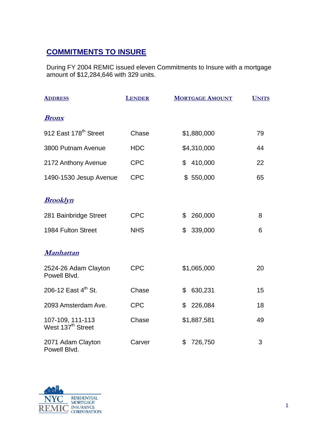## **COMMITMENTS TO INSURE**

During FY 2004 REMIC issued eleven Commitments to Insure with a mortgage amount of \$12,284,646 with 329 units.

| <b>ADDRESS</b>                                    | <b>LENDER</b> | <b>MORTGAGE AMOUNT</b> | <b>UNITS</b> |
|---------------------------------------------------|---------------|------------------------|--------------|
| <b>Bronx</b>                                      |               |                        |              |
| 912 East 178 <sup>th</sup> Street                 | Chase         | \$1,880,000            | 79           |
| 3800 Putnam Avenue                                | <b>HDC</b>    | \$4,310,000            | 44           |
| 2172 Anthony Avenue                               | <b>CPC</b>    | 410,000<br>\$          | 22           |
| 1490-1530 Jesup Avenue                            | <b>CPC</b>    | \$550,000              | 65           |
| <u>Brooklyn</u>                                   |               |                        |              |
| 281 Bainbridge Street                             | <b>CPC</b>    | 260,000<br>\$          | 8            |
| 1984 Fulton Street                                | <b>NHS</b>    | 339,000<br>\$          | 6            |
| <b>Manhattan</b>                                  |               |                        |              |
| 2524-26 Adam Clayton<br>Powell Blvd.              | <b>CPC</b>    | \$1,065,000            | 20           |
| 206-12 East 4 <sup>th</sup> St.                   | Chase         | 630,231<br>\$          | 15           |
| 2093 Amsterdam Ave.                               | <b>CPC</b>    | 226,084<br>\$          | 18           |
| 107-109, 111-113<br>West 137 <sup>th</sup> Street | Chase         | \$1,887,581            | 49           |
| 2071 Adam Clayton<br>Powell Blvd.                 | Carver        | \$<br>726,750          | 3            |

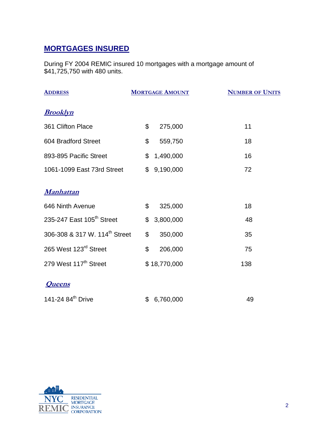# **MORTGAGES INSURED**

During FY 2004 REMIC insured 10 mortgages with a mortgage amount of \$41,725,750 with 480 units.

| <b>ADDRESS</b>                            | <b>MORTGAGE AMOUNT</b> |              | <b>NUMBER OF UNITS</b> |  |
|-------------------------------------------|------------------------|--------------|------------------------|--|
| <u>Brooklyn</u>                           |                        |              |                        |  |
| 361 Clifton Place                         | \$                     | 275,000      | 11                     |  |
| 604 Bradford Street                       | $\frac{1}{2}$          | 559,750      | 18                     |  |
| 893-895 Pacific Street                    |                        | \$1,490,000  | 16                     |  |
| 1061-1099 East 73rd Street                |                        | \$9,190,000  | 72                     |  |
| <u>Manhattan</u>                          |                        |              |                        |  |
| 646 Ninth Avenue                          | $\mathbb{S}$           | 325,000      | 18                     |  |
| 235-247 East 105 <sup>th</sup> Street     |                        | \$3,800,000  | 48                     |  |
| 306-308 & 317 W. 114 <sup>th</sup> Street | $\mathfrak{S}$         | 350,000      | 35                     |  |
| 265 West 123rd Street                     | $\frac{1}{2}$          | 206,000      | 75                     |  |
| 279 West 117 <sup>th</sup> Street         |                        | \$18,770,000 | 138                    |  |
| <b>Queens</b>                             |                        |              |                        |  |
| 141-24 84 <sup>th</sup> Drive             | \$                     | 6,760,000    | 49                     |  |

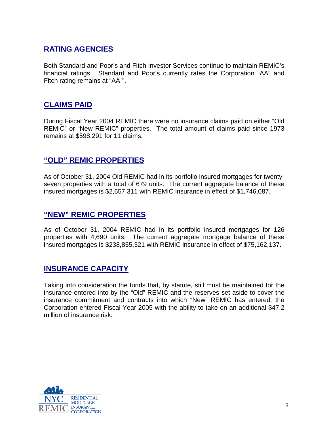# **RATING AGENCIES**

Both Standard and Poor's and Fitch Investor Services continue to maintain REMIC's financial ratings. Standard and Poor's currently rates the Corporation "AA" and Fitch rating remains at "AA-".

#### **CLAIMS PAID**

During Fiscal Year 2004 REMIC there were no insurance claims paid on either "Old REMIC" or "New REMIC" properties. The total amount of claims paid since 1973 remains at \$598,291 for 11 claims.

## **"OLD" REMIC PROPERTIES**

As of October 31, 2004 Old REMIC had in its portfolio insured mortgages for twentyseven properties with a total of 679 units. The current aggregate balance of these insured mortgages is \$2,657,311 with REMIC insurance in effect of \$1,746,087.

## **"NEW" REMIC PROPERTIES**

As of October 31, 2004 REMIC had in its portfolio insured mortgages for 126 properties with 4,690 units. The current aggregate mortgage balance of these insured mortgages is \$238,855,321 with REMIC insurance in effect of \$75,162,137.

## **INSURANCE CAPACITY**

Taking into consideration the funds that, by statute, still must be maintained for the insurance entered into by the "Old" REMIC and the reserves set aside to cover the insurance commitment and contracts into which "New" REMIC has entered, the Corporation entered Fiscal Year 2005 with the ability to take on an additional \$47.2 million of insurance risk.

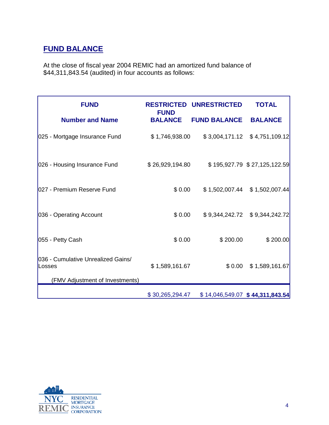# **FUND BALANCE**

At the close of fiscal year 2004 REMIC had an amortized fund balance of \$44,311,843.54 (audited) in four accounts as follows:

| <b>FUND</b>                                  | <b>RESTRICTED</b>             | <b>UNRESTRICTED</b> | <b>TOTAL</b>                    |
|----------------------------------------------|-------------------------------|---------------------|---------------------------------|
| <b>Number and Name</b>                       | <b>FUND</b><br><b>BALANCE</b> | <b>FUND BALANCE</b> | <b>BALANCE</b>                  |
| 025 - Mortgage Insurance Fund                | \$1,746,938.00                |                     | $$3,004,171.12$ $$4,751,109.12$ |
| 026 - Housing Insurance Fund                 | \$26,929,194.80               |                     | \$195,927.79 \$27,125,122.59    |
| 027 - Premium Reserve Fund                   | \$0.00                        |                     | \$1,502,007.44 \$1,502,007.44   |
| 036 - Operating Account                      | \$0.00                        |                     | \$9,344,242.72 \$9,344,242.72   |
| 055 - Petty Cash                             | \$0.00                        | \$200.00            | \$200.00]                       |
| 036 - Cumulative Unrealized Gains/<br>Losses | \$1,589,161.67                | \$0.00              | \$1,589,161.67                  |
| (FMV Adjustment of Investments)              |                               |                     |                                 |
|                                              | \$30,265,294.47               |                     | \$14,046,549.07 \$44,311,843.54 |

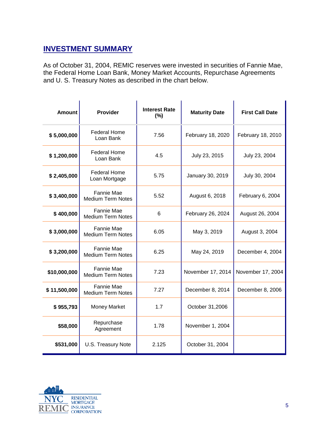## **INVESTMENT SUMMARY**

As of October 31, 2004, REMIC reserves were invested in securities of Fannie Mae, the Federal Home Loan Bank, Money Market Accounts, Repurchase Agreements and U. S. Treasury Notes as described in the chart below.

| <b>Amount</b> | <b>Provider</b>                               | <b>Interest Rate</b><br>(%) | <b>Maturity Date</b> | <b>First Call Date</b> |
|---------------|-----------------------------------------------|-----------------------------|----------------------|------------------------|
| \$5,000,000   | <b>Federal Home</b><br>Loan Bank              | 7.56                        | February 18, 2020    | February 18, 2010      |
| \$1,200,000   | <b>Federal Home</b><br>Loan Bank              | 4.5                         | July 23, 2015        | July 23, 2004          |
| \$2,405,000   | <b>Federal Home</b><br>Loan Mortgage          | 5.75                        | January 30, 2019     | July 30, 2004          |
| \$3,400,000   | <b>Fannie Mae</b><br><b>Medium Term Notes</b> | 5.52                        | August 6, 2018       | February 6, 2004       |
| \$400,000     | <b>Fannie Mae</b><br><b>Medium Term Notes</b> | 6                           | February 26, 2024    | August 26, 2004        |
| \$3,000,000   | <b>Fannie Mae</b><br><b>Medium Term Notes</b> | 6.05                        | May 3, 2019          | August 3, 2004         |
| \$3,200,000   | <b>Fannie Mae</b><br><b>Medium Term Notes</b> | 6.25                        | May 24, 2019         | December 4, 2004       |
| \$10,000,000  | <b>Fannie Mae</b><br><b>Medium Term Notes</b> | 7.23                        | November 17, 2014    | November 17, 2004      |
| \$11,500,000  | Fannie Mae<br>Medium Term Notes               | 7.27                        | December 8, 2014     | December 8, 2006       |
| \$955,793     | <b>Money Market</b>                           | 1.7                         | October 31,2006      |                        |
| \$58,000      | Repurchase<br>Agreement                       | 1.78                        | November 1, 2004     |                        |
| \$531,000     | U.S. Treasury Note                            | 2.125                       | October 31, 2004     |                        |

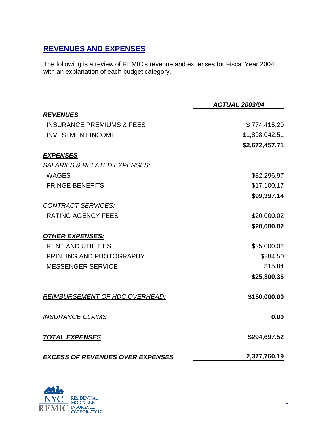# **REVENUES AND EXPENSES**

The following is a review of REMIC's revenue and expenses for Fiscal Year 2004 with an explanation of each budget category.

|                                         | <b>ACTUAL 2003/04</b> |
|-----------------------------------------|-----------------------|
| <b>REVENUES</b>                         |                       |
| <b>INSURANCE PREMIUMS &amp; FEES</b>    | \$774,415.20          |
| <b>INVESTMENT INCOME</b>                | \$1,898,042.51        |
|                                         | \$2,672,457.71        |
| <u>EXPENSES</u>                         |                       |
| <b>SALARIES &amp; RELATED EXPENSES:</b> |                       |
| <b>WAGES</b>                            | \$82,296.97           |
| <b>FRINGE BENEFITS</b>                  | \$17,100.17           |
|                                         | \$99,397.14           |
| <b>CONTRACT SERVICES:</b>               |                       |
| <b>RATING AGENCY FEES</b>               | \$20,000.02           |
|                                         | \$20,000.02           |
| <b>OTHER EXPENSES:</b>                  |                       |
| <b>RENT AND UTILITIES</b>               | \$25,000.02           |
| PRINTING AND PHOTOGRAPHY                | \$284.50              |
| <b>MESSENGER SERVICE</b>                | \$15.84               |
|                                         | \$25,300.36           |
| <b>REIMBURSEMENT OF HDC OVERHEAD:</b>   | \$150,000.00          |
| <b>INSURANCE CLAIMS</b>                 | 0.00                  |
| <b>TOTAL EXPENSES</b>                   | \$294,697.52          |
| <b>EXCESS OF REVENUES OVER EXPENSES</b> | 2,377,760.19          |

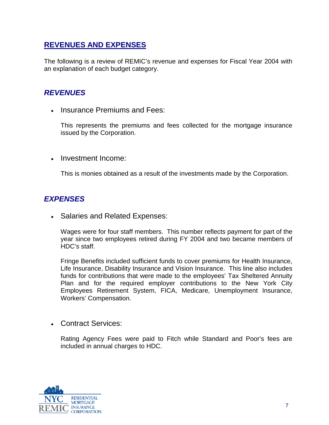## **REVENUES AND EXPENSES**

The following is a review of REMIC's revenue and expenses for Fiscal Year 2004 with an explanation of each budget category.

## *REVENUES*

• Insurance Premiums and Fees:

This represents the premiums and fees collected for the mortgage insurance issued by the Corporation.

• Investment Income:

This is monies obtained as a result of the investments made by the Corporation.

## *EXPENSES*

Salaries and Related Expenses:

Wages were for four staff members. This number reflects payment for part of the year since two employees retired during FY 2004 and two became members of HDC's staff.

Fringe Benefits included sufficient funds to cover premiums for Health Insurance, Life Insurance, Disability Insurance and Vision Insurance. This line also includes funds for contributions that were made to the employees' Tax Sheltered Annuity Plan and for the required employer contributions to the New York City Employees Retirement System, FICA, Medicare, Unemployment Insurance, Workers' Compensation.

• Contract Services:

Rating Agency Fees were paid to Fitch while Standard and Poor's fees are included in annual charges to HDC.